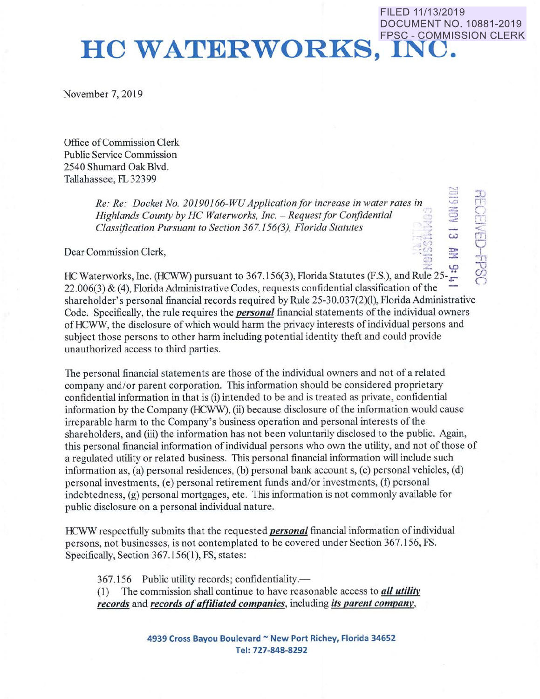## FPSC - COMMISSION CLERK **HC WATERWORKS, INC.**

November 7, 2019

Office of Commission Clerk Public Service Commission 2540 Shumard Oak Blvd. Tallahassee, FL 32399

> *Re: Re: Docket No. 20190166-WU Application/or increase in water rates in Highlands County by HC Waterworks, Inc.* - *Request for Confidential Classification Pursuant to Section 367.156(3), Florida Statutes*

Dear Commission Clerk,

**RECEIVED-FPSC** •,.:> *w* 

 $\overline{\phantom{a}}$  $\circ$ :;

FILED 11/13/2019

DOCUMENT NO. 10881-2019

 $\rm HC$  Waterworks, Inc. (HCWW) pursuant to 367.156(3), Florida Statutes (F.S.), and Rule 25- $\frac{1}{\epsilon}$  $22.006(3)$  & (4), Florida Administrative Codes, requests confidential classification of the shareholder's personal financial records required by Rule 25-30.037(2)(1), Florida Administrative Code. Specifically, the rule requires the *personal* financial statements of the individual owners ofHCWW, the disclosure of which would harm the privacy interests ofindividual persons and subject those persons to other harm including potential identity theft and could provide unauthorized access to third parties.

The personal financial statements are those of the individual owners and not of a related company and/or parent corporation. This information should be considered proprietary confidential information in that is (i) intended to be and is treated as private, confidential information by the Company (HCWW), (ii) because disclosure of the information would cause irreparable harm to the Company's business operation and personal interests of the shareholders, and (iii) the information has not been voluntarily disclosed to the public. Again, this personal financial information of individual persons who own the utility, and not of those of a regulated utility or related business. This personal financial information will include such information as, (a) personal residences, (b) personal bank account s, (c) personal vehicles, (d) personal investments, (e) personal retirement funds and/or investments, (f) personal indebtedness, (g) personal mortgages, etc. This information is not commonly available for public disclosure on a personal individual nature.

HCWW respectfully submits that the requested *personal* financial information of individual persons, not businesses, is not contemplated to be covered under Section 367 .156, FS. Specifically, Section 367.156(1), FS, states:

367.156 Public utility records; confidentiality.—

(!) The commission shall continue to have reasonable access to *all utility records* and *records of affiliated companies,* including *its parent company,* 

> **4939 Cross Bayou Boulevard** - **New Port Richey, Florida 34652 Tel: 727-848-8292**